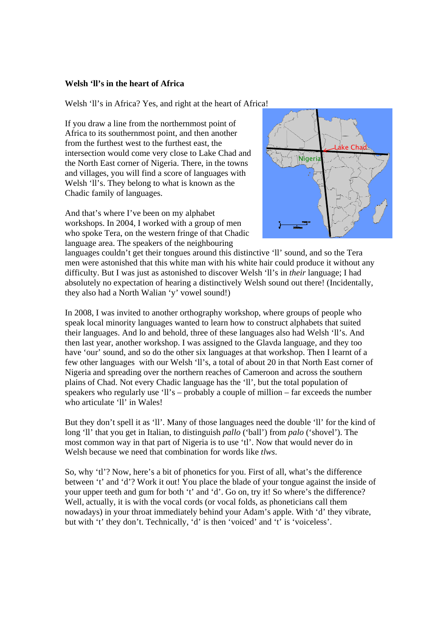## **Welsh 'll's in the heart of Africa**

Welsh 'll's in Africa? Yes, and right at the heart of Africa!

If you draw a line from the northernmost point of Africa to its southernmost point, and then another from the furthest west to the furthest east, the intersection would come very close to Lake Chad and the North East corner of Nigeria. There, in the towns and villages, you will find a score of languages with Welsh 'll's. They belong to what is known as the Chadic family of languages.

And that's where I've been on my alphabet workshops. In 2004, I worked with a group of men who spoke Tera, on the western fringe of that Chadic language area. The speakers of the neighbouring



languages couldn't get their tongues around this distinctive 'll' sound, and so the Tera men were astonished that this white man with his white hair could produce it without any difficulty. But I was just as astonished to discover Welsh 'll's in *their* language; I had absolutely no expectation of hearing a distinctively Welsh sound out there! (Incidentally, they also had a North Walian 'y' vowel sound!)

In 2008, I was invited to another orthography workshop, where groups of people who speak local minority languages wanted to learn how to construct alphabets that suited their languages. And lo and behold, three of these languages also had Welsh 'll's. And then last year, another workshop. I was assigned to the Glavda language, and they too have 'our' sound, and so do the other six languages at that workshop. Then I learnt of a few other languages with our Welsh 'll's, a total of about 20 in that North East corner of Nigeria and spreading over the northern reaches of Cameroon and across the southern plains of Chad. Not every Chadic language has the 'll', but the total population of speakers who regularly use 'll's – probably a couple of million – far exceeds the number who articulate 'll' in Wales!

But they don't spell it as 'll'. Many of those languages need the double 'll' for the kind of long 'll' that you get in Italian, to distinguish *pallo* ('ball') from *palo* ('shovel'). The most common way in that part of Nigeria is to use 'tl'. Now that would never do in Welsh because we need that combination for words like *tlws*.

So, why 'tl'? Now, here's a bit of phonetics for you. First of all, what's the difference between 't' and 'd'? Work it out! You place the blade of your tongue against the inside of your upper teeth and gum for both 't' and 'd'. Go on, try it! So where's the difference? Well, actually, it is with the vocal cords (or vocal folds, as phoneticians call them nowadays) in your throat immediately behind your Adam's apple. With 'd' they vibrate, but with 't' they don't. Technically, 'd' is then 'voiced' and 't' is 'voiceless'.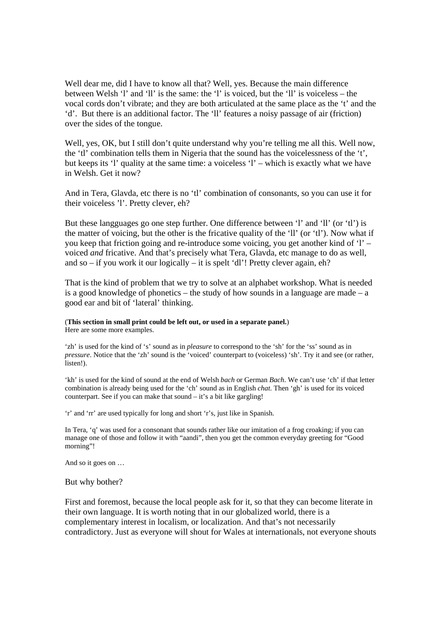Well dear me, did I have to know all that? Well, yes. Because the main difference between Welsh 'l' and 'll' is the same: the 'l' is voiced, but the 'll' is voiceless – the vocal cords don't vibrate; and they are both articulated at the same place as the 't' and the 'd'. But there is an additional factor. The 'll' features a noisy passage of air (friction) over the sides of the tongue.

Well, yes, OK, but I still don't quite understand why you're telling me all this. Well now, the 'tl' combination tells them in Nigeria that the sound has the voicelessness of the 't', but keeps its 'l' quality at the same time: a voiceless 'l' – which is exactly what we have in Welsh. Get it now?

And in Tera, Glavda, etc there is no 'tl' combination of consonants, so you can use it for their voiceless 'l'. Pretty clever, eh?

But these langguages go one step further. One difference between 'l' and 'll' (or 'tl') is the matter of voicing, but the other is the fricative quality of the 'll' (or 'tl'). Now what if you keep that friction going and re-introduce some voicing, you get another kind of 'l' – voiced *and* fricative. And that's precisely what Tera, Glavda, etc manage to do as well, and so – if you work it our logically – it is spelt 'dl'! Pretty clever again, eh?

That is the kind of problem that we try to solve at an alphabet workshop. What is needed is a good knowledge of phonetics – the study of how sounds in a language are made – a good ear and bit of 'lateral' thinking.

## (**This section in small print could be left out, or used in a separate panel.**)

Here are some more examples.

'zh' is used for the kind of 's' sound as in *pleasure* to correspond to the 'sh' for the 'ss' sound as in *pressure*. Notice that the 'zh' sound is the 'voiced' counterpart to (voiceless) 'sh'. Try it and see (or rather, listen!).

'kh' is used for the kind of sound at the end of Welsh *bach* or German *Bach*. We can't use 'ch' if that letter combination is already being used for the 'ch' sound as in English *chat*. Then 'gh' is used for its voiced counterpart. See if you can make that sound – it's a bit like gargling!

'r' and 'rr' are used typically for long and short 'r's, just like in Spanish.

In Tera, 'q' was used for a consonant that sounds rather like our imitation of a frog croaking; if you can manage one of those and follow it with "aandi", then you get the common everyday greeting for "Good morning"!

And so it goes on …

But why bother?

First and foremost, because the local people ask for it, so that they can become literate in their own language. It is worth noting that in our globalized world, there is a complementary interest in localism, or localization. And that's not necessarily contradictory. Just as everyone will shout for Wales at internationals, not everyone shouts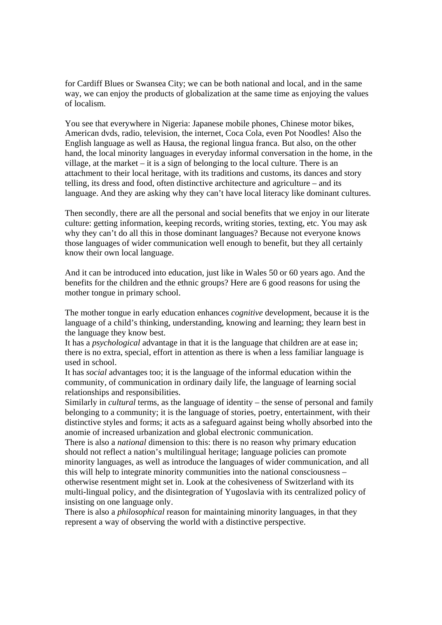for Cardiff Blues or Swansea City; we can be both national and local, and in the same way, we can enjoy the products of globalization at the same time as enjoying the values of localism.

You see that everywhere in Nigeria: Japanese mobile phones, Chinese motor bikes, American dvds, radio, television, the internet, Coca Cola, even Pot Noodles! Also the English language as well as Hausa, the regional lingua franca. But also, on the other hand, the local minority languages in everyday informal conversation in the home, in the village, at the market – it is a sign of belonging to the local culture. There is an attachment to their local heritage, with its traditions and customs, its dances and story telling, its dress and food, often distinctive architecture and agriculture – and its language. And they are asking why they can't have local literacy like dominant cultures.

Then secondly, there are all the personal and social benefits that we enjoy in our literate culture: getting information, keeping records, writing stories, texting, etc. You may ask why they can't do all this in those dominant languages? Because not everyone knows those languages of wider communication well enough to benefit, but they all certainly know their own local language.

And it can be introduced into education, just like in Wales 50 or 60 years ago. And the benefits for the children and the ethnic groups? Here are 6 good reasons for using the mother tongue in primary school.

The mother tongue in early education enhances *cognitive* development, because it is the language of a child's thinking, understanding, knowing and learning; they learn best in the language they know best.

It has a *psychological* advantage in that it is the language that children are at ease in; there is no extra, special, effort in attention as there is when a less familiar language is used in school.

It has *social* advantages too; it is the language of the informal education within the community, of communication in ordinary daily life, the language of learning social relationships and responsibilities.

Similarly in *cultural* terms, as the language of identity – the sense of personal and family belonging to a community; it is the language of stories, poetry, entertainment, with their distinctive styles and forms; it acts as a safeguard against being wholly absorbed into the anomie of increased urbanization and global electronic communication.

There is also a *national* dimension to this: there is no reason why primary education should not reflect a nation's multilingual heritage; language policies can promote minority languages, as well as introduce the languages of wider communication, and all this will help to integrate minority communities into the national consciousness – otherwise resentment might set in. Look at the cohesiveness of Switzerland with its multi-lingual policy, and the disintegration of Yugoslavia with its centralized policy of insisting on one language only.

There is also a *philosophical* reason for maintaining minority languages, in that they represent a way of observing the world with a distinctive perspective.